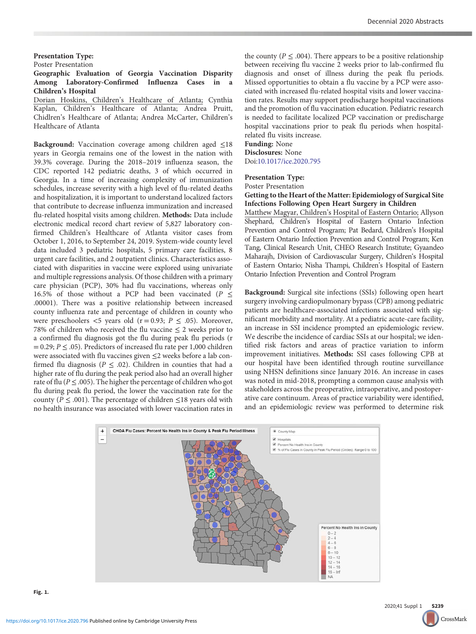#### Presentation Type:

Poster Presentation

## Geographic Evaluation of Georgia Vaccination Disparity Among Laboratory-Confirmed Influenza Cases in a Children's Hospital

Dorian Hoskins, Children's Healthcare of Atlanta; Cynthia Kaplan, Children's Healthcare of Atlanta; Andrea Pruitt, Chidlren's Healthcare of Atlanta; Andrea McCarter, Children's Healthcare of Atlanta

Background: Vaccination coverage among children aged ≤18 years in Georgia remains one of the lowest in the nation with 39.3% coverage. During the 2018–2019 influenza season, the CDC reported 142 pediatric deaths, 3 of which occurred in Georgia. In a time of increasing complexity of immunization schedules, increase severity with a high level of flu-related deaths and hospitalization, it is important to understand localized factors that contribute to decrease influenza immunization and increased flu-related hospital visits among children. Methods: Data include electronic medical record chart review of 5,827 laboratory confirmed Children's Healthcare of Atlanta visitor cases from October 1, 2016, to September 24, 2019. System-wide county level data included 3 pediatric hospitals, 5 primary care facilities, 8 urgent care facilities, and 2 outpatient clinics. Characteristics associated with disparities in vaccine were explored using univariate and multiple regressions analysis. Of those children with a primary care physician (PCP), 30% had flu vaccinations, whereas only 16.5% of those without a PCP had been vaccinated ( $P \leq$ .00001). There was a positive relationship between increased county influenza rate and percentage of children in county who were preschoolers  $\lt 5$  years old (r = 0.93;  $P \leq .05$ ). Moreover, 78% of children who received the flu vaccine  $\leq 2$  weeks prior to a confirmed flu diagnosis got the flu during peak flu periods (r  $= 0.29; P \leq .05$ ). Predictors of increased flu rate per 1,000 children were associated with flu vaccines given ≤2 weeks before a lab confirmed flu diagnosis ( $P \leq .02$ ). Children in counties that had a higher rate of flu during the peak period also had an overall higher rate of flu ( $P \le 0.005$ ). The higher the percentage of children who got flu during peak flu period, the lower the vaccination rate for the county ( $P \leq .001$ ). The percentage of children  $\leq 18$  years old with no health insurance was associated with lower vaccination rates in

the county ( $P \leq .004$ ). There appears to be a positive relationship between receiving flu vaccine 2 weeks prior to lab-confirmed flu diagnosis and onset of illness during the peak flu periods. Missed opportunities to obtain a flu vaccine by a PCP were associated with increased flu-related hospital visits and lower vaccination rates. Results may support predischarge hospital vaccinations and the promotion of flu vaccination education. Pediatric research is needed to facilitate localized PCP vaccination or predischarge hospital vaccinations prior to peak flu periods when hospitalrelated flu visits increase.

### Funding: None Disclosures: None

Doi[:10.1017/ice.2020.795](https://doi.org/10.1017/ice.2020.795)

# Presentation Type:

Poster Presentation

## Getting to the Heart of the Matter: Epidemiology of Surgical Site Infections Following Open Heart Surgery in Children

Matthew Magyar, Children's Hospital of Eastern Ontario; Allyson Shephard, Children's Hospital of Eastern Ontario Infection Prevention and Control Program; Pat Bedard, Children's Hospital of Eastern Ontario Infection Prevention and Control Program; Ken Tang, Clinical Research Unit, CHEO Research Institute; Gyaandeo Maharajh, Division of Cardiovascular Surgery, Children's Hospital of Eastern Ontario; Nisha Thampi, Children's Hospital of Eastern Ontario Infection Prevention and Control Program

Background: Surgical site infections (SSIs) following open heart surgery involving cardiopulmonary bypass (CPB) among pediatric patients are healthcare-associated infections associated with significant morbidity and mortality. At a pediatric acute-care facility, an increase in SSI incidence prompted an epidemiologic review. We describe the incidence of cardiac SSIs at our hospital; we identified risk factors and areas of practice variation to inform improvement initiatives. Methods: SSI cases following CPB at our hospital have been identified through routine surveillance using NHSN definitions since January 2016. An increase in cases was noted in mid-2018, prompting a common cause analysis with stakeholders across the preoperative, intraoperative, and postoperative care continuum. Areas of practice variability were identified, and an epidemiologic review was performed to determine risk